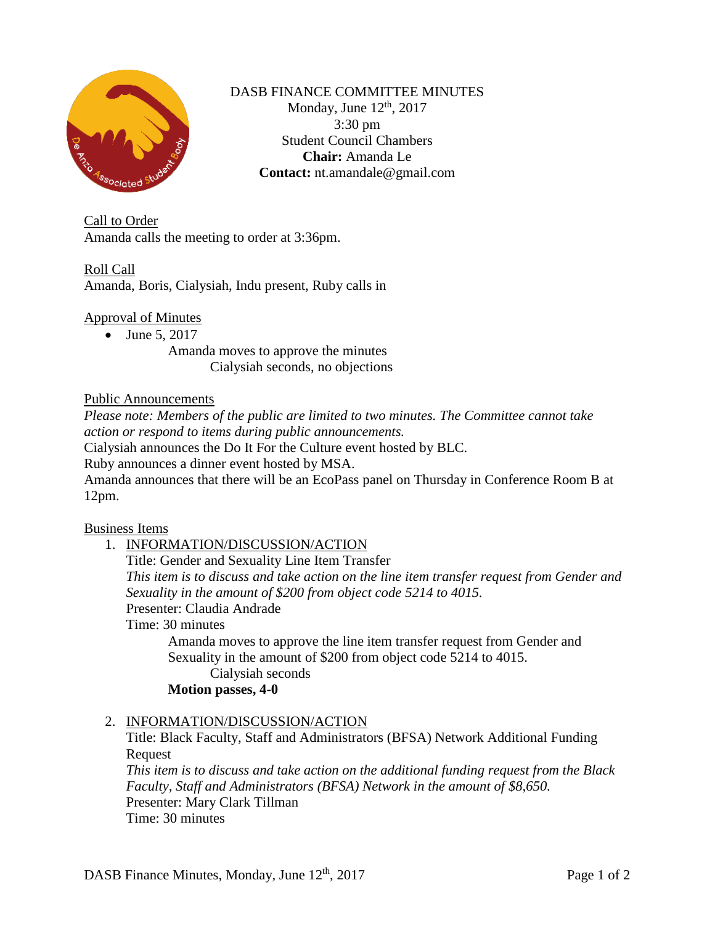

### DASB FINANCE COMMITTEE MINUTES Monday, June  $12<sup>th</sup>$ , 2017 3:30 pm Student Council Chambers **Chair:** Amanda Le **Contact:** nt.amandale@gmail.com

Call to Order Amanda calls the meeting to order at 3:36pm.

# Roll Call

Amanda, Boris, Cialysiah, Indu present, Ruby calls in

### Approval of Minutes

• June 5, 2017

Amanda moves to approve the minutes Cialysiah seconds, no objections

### Public Announcements

*Please note: Members of the public are limited to two minutes. The Committee cannot take action or respond to items during public announcements.* 

Cialysiah announces the Do It For the Culture event hosted by BLC.

Ruby announces a dinner event hosted by MSA.

Amanda announces that there will be an EcoPass panel on Thursday in Conference Room B at 12pm.

### Business Items

1. INFORMATION/DISCUSSION/ACTION

Title: Gender and Sexuality Line Item Transfer

*This item is to discuss and take action on the line item transfer request from Gender and Sexuality in the amount of \$200 from object code 5214 to 4015.* Presenter: Claudia Andrade

Time: 30 minutes

Amanda moves to approve the line item transfer request from Gender and Sexuality in the amount of \$200 from object code 5214 to 4015.

### Cialysiah seconds

# **Motion passes, 4-0**

### 2. INFORMATION/DISCUSSION/ACTION

Title: Black Faculty, Staff and Administrators (BFSA) Network Additional Funding **Request** 

*This item is to discuss and take action on the additional funding request from the Black Faculty, Staff and Administrators (BFSA) Network in the amount of \$8,650.* Presenter: Mary Clark Tillman Time: 30 minutes